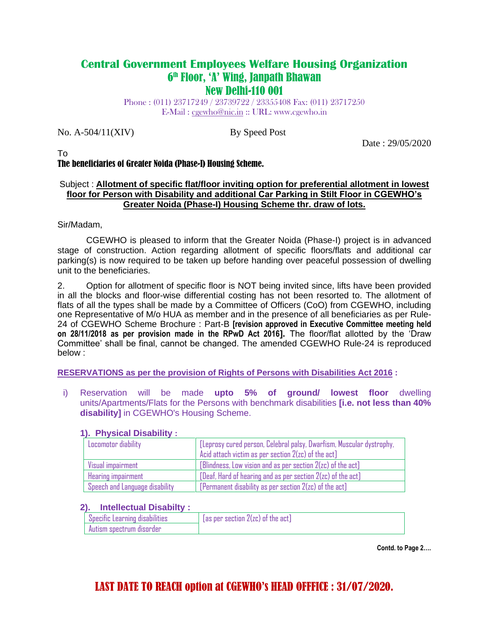### **Central Government Employees Welfare Housing Organization** 6 th Floor, 'A' Wing, Janpath Bhawan New Delhi-110 001

Phone : (011) 23717249 / 23739722 / 23355408 Fax: (011) 23717250 E-Mail : [cgewho@nic.in](mailto:cgewho@nic.in) :: URL: www.cgewho.in

No. A-504/11(XIV) By Speed Post

Date : 29/05/2020

#### To The beneficiaries of Greater Noida (Phase-I) Housing Scheme.

#### Subject : **Allotment of specific flat/floor inviting option for preferential allotment in lowest floor for Person with Disability and additional Car Parking in Stilt Floor in CGEWHO's Greater Noida (Phase-I) Housing Scheme thr. draw of lots.**

Sir/Madam,

CGEWHO is pleased to inform that the Greater Noida (Phase-I) project is in advanced stage of construction. Action regarding allotment of specific floors/flats and additional car parking(s) is now required to be taken up before handing over peaceful possession of dwelling unit to the beneficiaries.

2. Option for allotment of specific floor is NOT being invited since, lifts have been provided in all the blocks and floor-wise differential costing has not been resorted to. The allotment of flats of all the types shall be made by a Committee of Officers (CoO) from CGEWHO, including one Representative of M/o HUA as member and in the presence of all beneficiaries as per Rule-24 of CGEWHO Scheme Brochure : Part-B **[revision approved in Executive Committee meeting held on 28/11/2018 as per provision made in the RPwD Act 2016].** The floor/flat allotted by the 'Draw Committee' shall be final, cannot be changed. The amended CGEWHO Rule-24 is reproduced below :

**RESERVATIONS as per the provision of Rights of Persons with Disabilities Act 2016 :**

i) Reservation will be made **upto 5% of ground/ lowest floor** dwelling units/Apartments/Flats for the Persons with benchmark disabilities **[i.e. not less than 40% disability]** in CGEWHO's Housing Scheme.

### **1). Physical Disability :**

| Locomotor diability            | [Leprosy cured person, Celebral palsy, Dwarfism, Muscular dystrophy, |
|--------------------------------|----------------------------------------------------------------------|
|                                | Acid attach victim as per section $2(zc)$ of the act]                |
| Visual impairment              | $[Blindness,$ Low vision and as per section $2(zc)$ of the act]      |
| Hearing impairment             | [Deaf, Hard of hearing and as per section 2(zc) of the act]          |
| Speech and Language disability | [Permanent disability as per section $2(zc)$ of the act]             |

### **2). Intellectual Disabilty :**

| r Specific Learning disabilities : | $[$ as per section $2$ (zc) of the act] |
|------------------------------------|-----------------------------------------|
| Autism spectrum disorder           |                                         |

**Contd. to Page 2….**

# LAST DATE TO REACH option at CGEWHO's HEAD OFFFICE : 31/07/2020.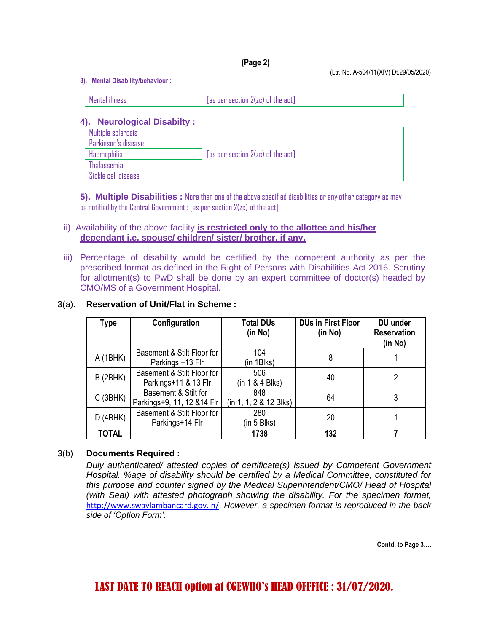#### **(Page 2)**

**3). Mental Disability/behaviour :** 

| . |
|---|

#### **4). Neurological Disabilty :**

| Multiple sclerosis  |                                               |
|---------------------|-----------------------------------------------|
| Parkinson's disease |                                               |
| Haemophilia         | $[$ as per section $2($ zc $)$ of the act $]$ |
| <b>Thalassemia</b>  |                                               |
| Sickle cell disease |                                               |

**5). Multiple Disabilities :** More than one of the above specified disabilities or any other category as may be notified by the Central Government : [as per section 2(zc) of the act]

#### ii) Availability of the above facility **is restricted only to the allottee and his/her dependant i.e. spouse/ children/ sister/ brother, if any.**

iii) Percentage of disability would be certified by the competent authority as per the prescribed format as defined in the Right of Persons with Disabilities Act 2016. Scrutiny for allotment(s) to PwD shall be done by an expert committee of doctor(s) headed by CMO/MS of a Government Hospital.

#### 3(a). **Reservation of Unit/Flat in Scheme :**

| Type         | Configuration                                                       | <b>Total DUs</b><br>(in No)   | <b>DUs in First Floor</b><br>(in No) | DU under<br><b>Reservation</b><br>(in No) |
|--------------|---------------------------------------------------------------------|-------------------------------|--------------------------------------|-------------------------------------------|
| A (1BHK)     | Basement & Stilt Floor for<br>Parkings +13 Flr                      | 104<br>(in 1Blks)             | 8                                    |                                           |
| B(2BHK)      | Basement & Stilt Floor for<br>Parkings+11 & 13 Flr                  | 506<br>(in 1 & 4 Blks)        | 40                                   | 2                                         |
| C(3BHK)      | Basement & Stilt for<br>Parkings+9, 11, 12 & 14 Flr                 | 848<br>(in 1, 1, 2 & 12 Blks) | 64                                   | 3                                         |
| D(4BHK)      | Basement & Stilt Floor for<br>280<br>Parkings+14 Flr<br>(in 5 Blks) |                               | 20                                   |                                           |
| <b>TOTAL</b> |                                                                     | 1738                          | 132                                  |                                           |

### 3(b) **Documents Required :**

*Duly authenticated/ attested copies of certificate(s) issued by Competent Government Hospital. %age of disability should be certified by a Medical Committee, constituted for this purpose and counter signed by the Medical Superintendent/CMO/ Head of Hospital (with Seal) with attested photograph showing the disability. For the specimen format,*  [http://www.swavlambancard.gov.in/.](http://www.swavlambancard.gov.in/) *However, a specimen format is reproduced in the back side of 'Option Form'.*

**Contd. to Page 3….**

# LAST DATE TO REACH option at CGEWHO's HEAD OFFFICE : 31/07/2020.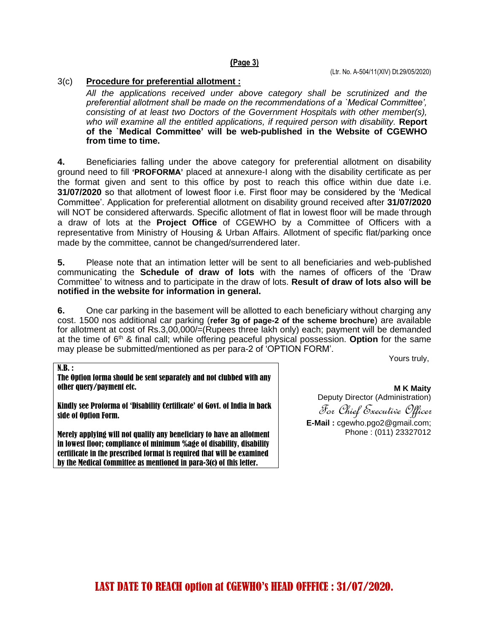#### **(Page 3)**

#### 3(c) **Procedure for preferential allotment :**

*All the applications received under above category shall be scrutinized and the preferential allotment shall be made on the recommendations of a `Medical Committee', consisting of at least two Doctors of the Government Hospitals with other member(s), who will examine all the entitled applications, if required person with disability.* **Report of the `Medical Committee' will be web-published in the Website of CGEWHO from time to time.**

**4.** Beneficiaries falling under the above category for preferential allotment on disability ground need to fill **'PROFORMA'** placed at annexure-I along with the disability certificate as per the format given and sent to this office by post to reach this office within due date i.e. **31/07/2020** so that allotment of lowest floor i.e. First floor may be considered by the 'Medical Committee'. Application for preferential allotment on disability ground received after **31/07/2020** will NOT be considered afterwards. Specific allotment of flat in lowest floor will be made through a draw of lots at the **Project Office** of CGEWHO by a Committee of Officers with a representative from Ministry of Housing & Urban Affairs. Allotment of specific flat/parking once made by the committee, cannot be changed/surrendered later.

**5.** Please note that an intimation letter will be sent to all beneficiaries and web-published communicating the **Schedule of draw of lots** with the names of officers of the 'Draw Committee' to witness and to participate in the draw of lots. **Result of draw of lots also will be notified in the website for information in general.**

**6.** One car parking in the basement will be allotted to each beneficiary without charging any cost. 1500 nos additional car parking (**refer 3g of page-2 of the scheme brochure**) are available for allotment at cost of Rs.3,00,000/=(Rupees three lakh only) each; payment will be demanded at the time of 6th & final call; while offering peaceful physical possession. **Option** for the same may please be submitted/mentioned as per para-2 of 'OPTION FORM'.

Yours truly,

 $N.B.:$ 

The Option forma should be sent separately and not clubbed with any other query/payment etc.

Kindly see Proforma of 'Disability Certificate' of Govt. of India in back side of Option Form.

Merely applying will not qualify any beneficiary to have an allotment in lowest floor; compliance of minimum %age of disability, disability certificate in the prescribed format is required that will be examined by the Medical Committee as mentioned in para-3(c) of this letter.

**M K Maity** Deputy Director (Administration) For Chief Executive Officer **E-Mail :** cgewho.pgo2@gmail.com; Phone : (011) 23327012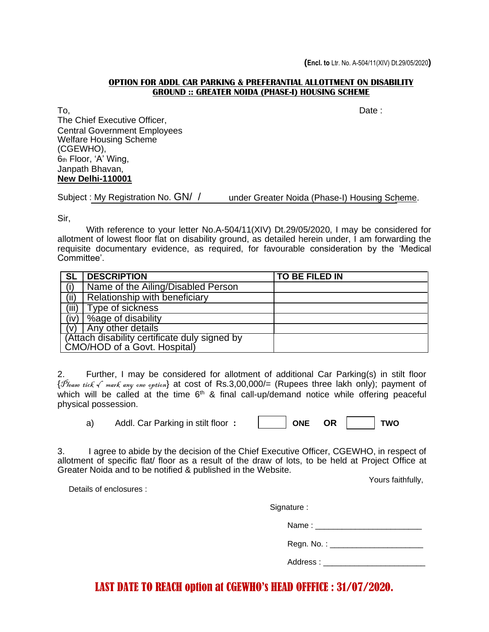#### **OPTION FOR ADDL CAR PARKING & PREFERANTIAL ALLOTTMENT ON DISABILITY GROUND :: GREATER NOIDA (PHASE-I) HOUSING SCHEME**

To, Date : The Chief Executive Officer, Central Government Employees Welfare Housing Scheme (CGEWHO), 6th Floor, 'A' Wing, Janpath Bhavan, **New Delhi-110001**

Subject : My Registration No. GN/ / under Greater Noida (Phase-I) Housing Scheme.

Sir,

With reference to your letter No.A-504/11(XIV) Dt.29/05/2020, I may be considered for allotment of lowest floor flat on disability ground, as detailed herein under, I am forwarding the requisite documentary evidence, as required, for favourable consideration by the 'Medical Committee'.

| <b>SL</b> | <b>DESCRIPTION</b>                                                            | TO BE FILED IN |  |  |  |
|-----------|-------------------------------------------------------------------------------|----------------|--|--|--|
|           | Name of the Ailing/Disabled Person                                            |                |  |  |  |
| (ii)      | Relationship with beneficiary                                                 |                |  |  |  |
| (iii)     | Type of sickness                                                              |                |  |  |  |
| (iv)      | Sage of disability                                                            |                |  |  |  |
| (v)       | Any other details                                                             |                |  |  |  |
|           | (Attach disability certificate duly signed by<br>CMO/HOD of a Govt. Hospital) |                |  |  |  |

2. Further, I may be considered for allotment of additional Car Parking(s) in stilt floor { Please tick  $\sqrt{m}$  mark any one option} at cost of Rs.3,00,000/= (Rupees three lakh only); payment of which will be called at the time  $6<sup>th</sup>$  & final call-up/demand notice while offering peaceful physical possession.

a) Addl. Car Parking in stilt floor **: ONE OR TWO**

|  | ONF | ١D |  |  |
|--|-----|----|--|--|
|--|-----|----|--|--|

3. I agree to abide by the decision of the Chief Executive Officer, CGEWHO, in respect of allotment of specific flat/ floor as a result of the draw of lots, to be held at Project Office at Greater Noida and to be notified & published in the Website.

Yours faithfully,

Details of enclosures :

| Regn. No.: ________________                                                                                                                                                                                                    |
|--------------------------------------------------------------------------------------------------------------------------------------------------------------------------------------------------------------------------------|
| Address : with a control of the control of the control of the control of the control of the control of the control of the control of the control of the control of the control of the control of the control of the control of |
|                                                                                                                                                                                                                                |

# LAST DATE TO REACH option at CGEWHO's HEAD OFFFICE : 31/07/2020.